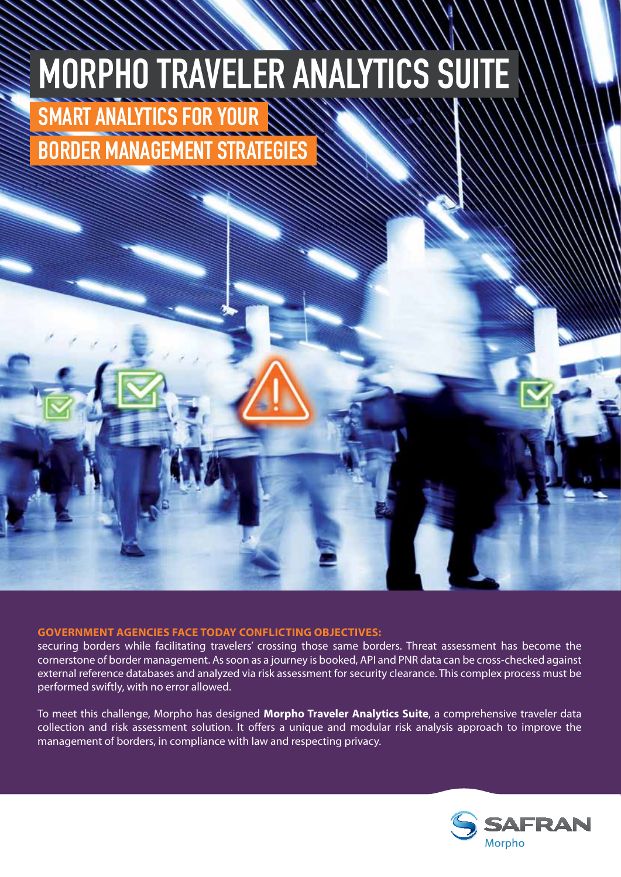# MORPHO TRAVELER ANALYTICS SUITE SMART ANALYTICS FOR YOUR BORDER MANAGEMENT STRATEGIES

#### **Government agencies face today conflicting objectives:**

securing borders while facilitating travelers' crossing those same borders. Threat assessment has become the cornerstone of border management. As soon as a journey is booked, API and PNR data can be cross-checked against external reference databases and analyzed via risk assessment for security clearance. This complex process must be performed swiftly, with no error allowed.

To meet this challenge, Morpho has designed **Morpho Traveler Analytics Suite**, a comprehensive traveler data collection and risk assessment solution. It offers a unique and modular risk analysis approach to improve the management of borders, in compliance with law and respecting privacy.

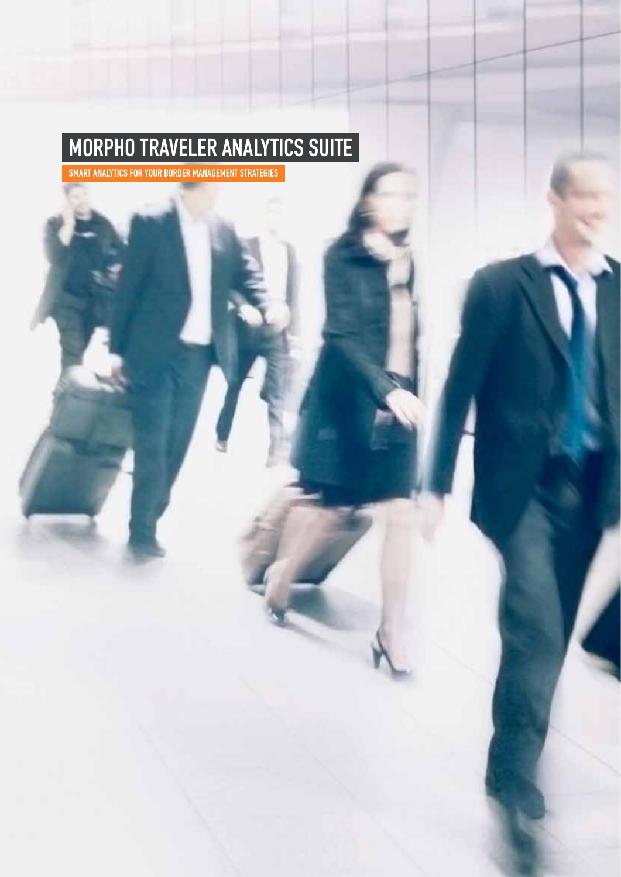## Morpho TRAVELER ANALYTICS SUITE

SMART ANALYTICS FOR YOUR BORDER MANAGEMENT STRATEGIES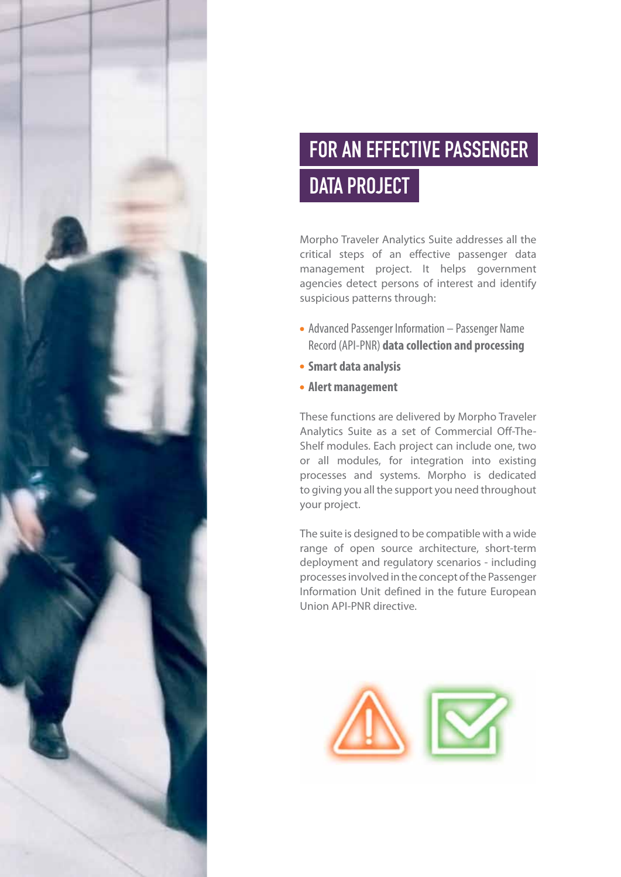

## data project For an effective passenger

Morpho Traveler Analytics Suite addresses all the critical steps of an effective passenger data management project. It helps government agencies detect persons of interest and identify suspicious patterns through:

- Advanced Passenger Information Passenger Name Record (API-PNR) **data collection and processing**
- **Smart data analysis**
- **Alert management**

These functions are delivered by Morpho Traveler Analytics Suite as a set of Commercial Off-The-Shelf modules. Each project can include one, two or all modules, for integration into existing processes and systems. Morpho is dedicated to giving you all the support you need throughout your project.

The suite is designed to be compatible with a wide range of open source architecture, short-term deployment and regulatory scenarios - including processes involved in the concept of the Passenger Information Unit defined in the future European Union API-PNR directive.

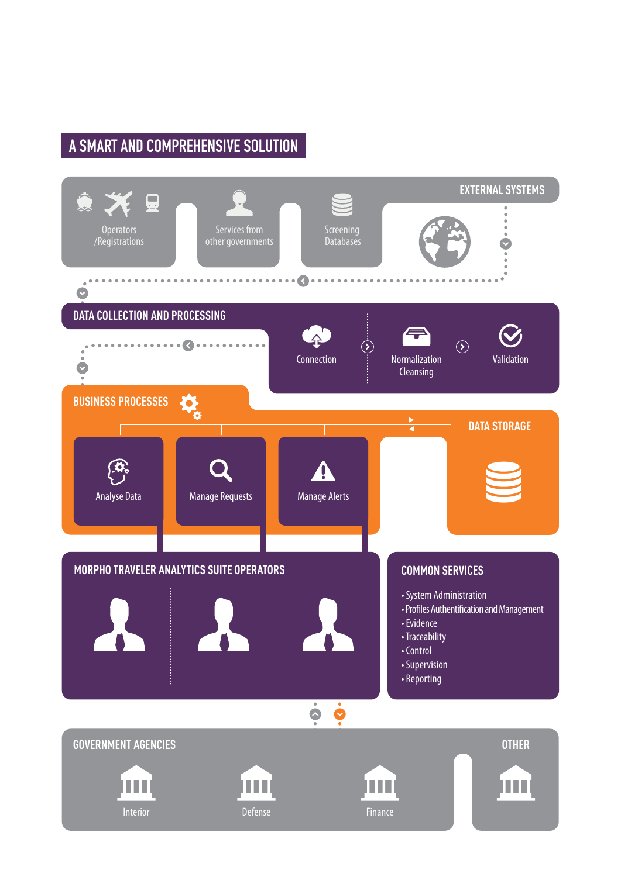## A SMART AND COMPREHENSIVE SOLUTION

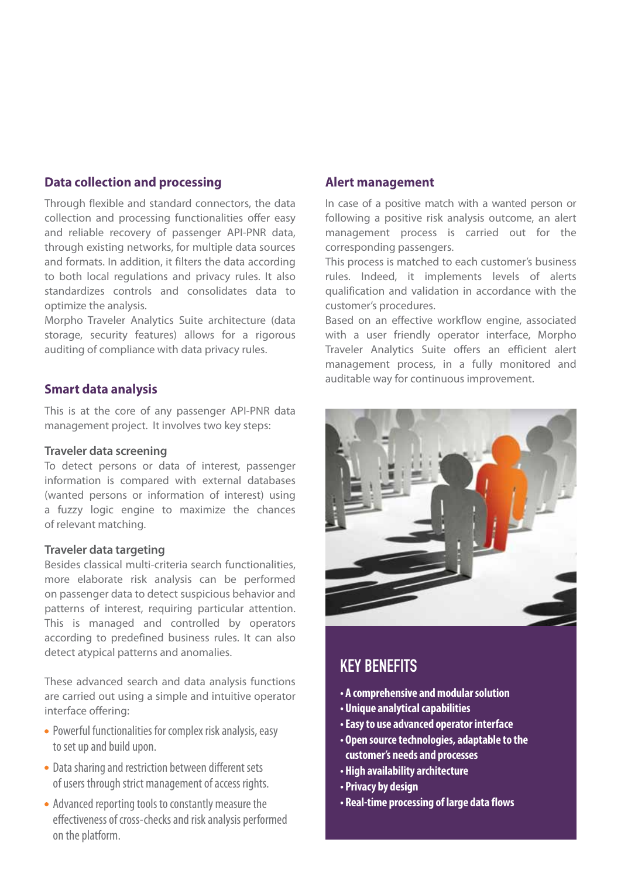#### **Data collection and processing**

Through flexible and standard connectors, the data collection and processing functionalities offer easy and reliable recovery of passenger API-PNR data, through existing networks, for multiple data sources and formats. In addition, it filters the data according to both local regulations and privacy rules. It also standardizes controls and consolidates data to optimize the analysis.

Morpho Traveler Analytics Suite architecture (data storage, security features) allows for a rigorous auditing of compliance with data privacy rules.

#### **Smart data analysis**

This is at the core of any passenger API-PNR data management project. It involves two key steps:

#### **Traveler data screening**

To detect persons or data of interest, passenger information is compared with external databases (wanted persons or information of interest) using a fuzzy logic engine to maximize the chances of relevant matching.

#### **Traveler data targeting**

Besides classical multi-criteria search functionalities, more elaborate risk analysis can be performed on passenger data to detect suspicious behavior and patterns of interest, requiring particular attention. This is managed and controlled by operators according to predefined business rules. It can also detect atypical patterns and anomalies.

These advanced search and data analysis functions are carried out using a simple and intuitive operator interface offering:

- Powerful functionalities for complex risk analysis, easy to set up and build upon.
- Data sharing and restriction between different sets of users through strict management of access rights.
- Advanced reporting tools to constantly measure the effectiveness of cross-checks and risk analysis performed on the platform.

#### **Alert management**

In case of a positive match with a wanted person or following a positive risk analysis outcome, an alert management process is carried out for the corresponding passengers.

This process is matched to each customer's business rules. Indeed, it implements levels of alerts qualification and validation in accordance with the customer's procedures.

Based on an effective workflow engine, associated with a user friendly operator interface, Morpho Traveler Analytics Suite offers an efficient alert management process, in a fully monitored and auditable way for continuous improvement.



### KEY BENEFITS

- **A comprehensive and modular solution**
- **Unique analytical capabilities**
- **Easy to use advanced operator interface**
- **Open source technologies, adaptable to the customer's needs and processes**
- **High availability architecture**
- **Privacy by design**
- **Real-time processing of large data flows**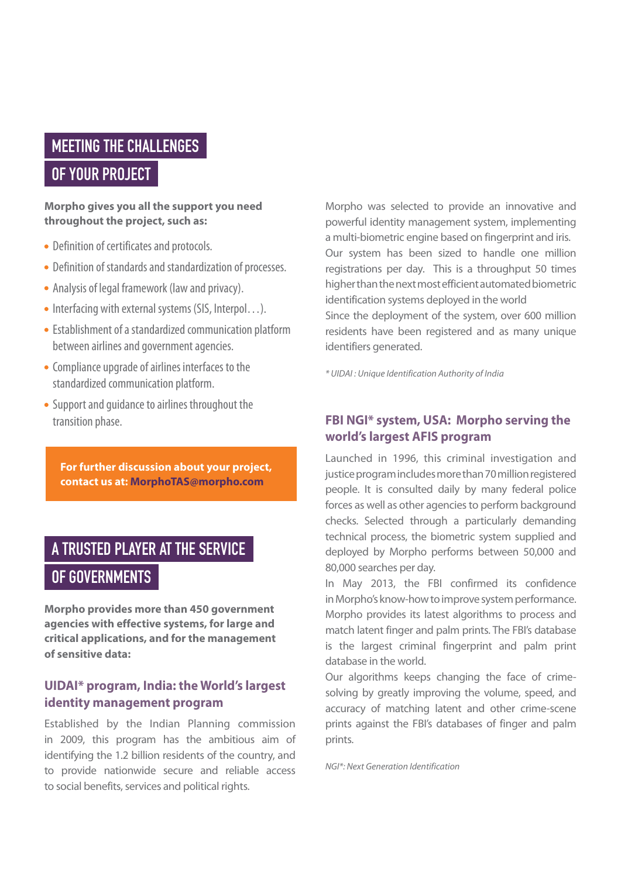## Meeting the challenges

### ofyour project

#### **Morpho gives you all the support you need throughout the project, such as:**

- Definition of certificates and protocols.
- Definition of standards and standardization of processes.
- Analysis of legal framework (law and privacy).
- $\bullet$  Interfacing with external systems (SIS, Interpol...).
- Establishment of a standardized communication platform between airlines and government agencies.
- Compliance upgrade of airlines interfaces to the standardized communication platform.
- Support and quidance to airlines throughout the transition phase.

**For further discussion about your project, contact us at: MorphoTAS@morpho.com**

## A trusted player at the service of governments

**Morpho provides more than 450 government agencies with effective systems, for large and critical applications, and for the management of sensitive data:** 

#### **UIDAI\* program, India: the World's largest identity management program**

Established by the Indian Planning commission in 2009, this program has the ambitious aim of identifying the 1.2 billion residents of the country, and to provide nationwide secure and reliable access to social benefits, services and political rights.

Morpho was selected to provide an innovative and powerful identity management system, implementing a multi-biometric engine based on fingerprint and iris. Our system has been sized to handle one million registrations per day. This is a throughput 50 times higher than the next most efficient automated biometric identification systems deployed in the world Since the deployment of the system, over 600 million residents have been registered and as many unique

*\* UIDAI : Unique Identification Authority of India* 

identifiers generated.

#### **FBI NGI\* system, USA: Morpho serving the world's largest AFIS program**

Launched in 1996, this criminal investigation and justice program includes more than 70 million registered people. It is consulted daily by many federal police forces as well as other agencies to perform background checks. Selected through a particularly demanding technical process, the biometric system supplied and deployed by Morpho performs between 50,000 and 80,000 searches per day.

In May 2013, the FBI confirmed its confidence in Morpho's know-how to improve system performance. Morpho provides its latest algorithms to process and match latent finger and palm prints. The FBI's database is the largest criminal fingerprint and palm print database in the world.

Our algorithms keeps changing the face of crimesolving by greatly improving the volume, speed, and accuracy of matching latent and other crime-scene prints against the FBI's databases of finger and palm prints.

*NGI\*: Next Generation Identification*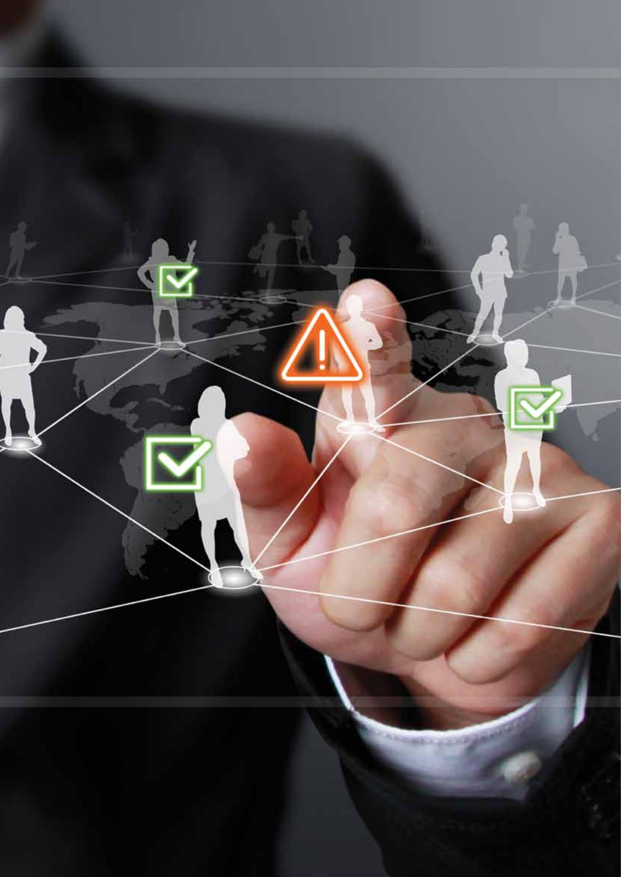